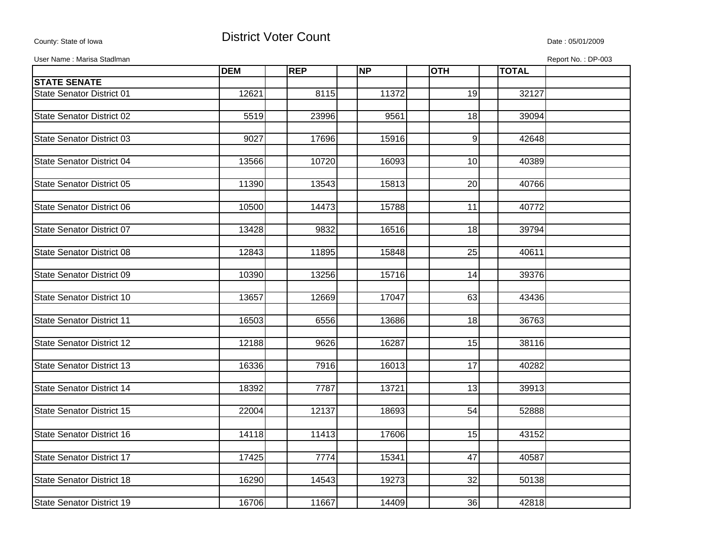## County: State of Iowa **District Voter Count** Description of the United States of Iowa Date : 05/01/2009

User Name : Marisa Stadlman Report No. : DP-003

|                                  | <b>DEM</b> | <b>REP</b> | <b>NP</b> | <b>OTH</b>      | <b>TOTAL</b> |  |
|----------------------------------|------------|------------|-----------|-----------------|--------------|--|
| <b>STATE SENATE</b>              |            |            |           |                 |              |  |
| <b>State Senator District 01</b> | 12621      | 8115       | 11372     | 19              | 32127        |  |
|                                  |            |            |           |                 |              |  |
| <b>State Senator District 02</b> | 5519       | 23996      | 9561      | 18              | 39094        |  |
|                                  |            |            |           |                 |              |  |
| <b>State Senator District 03</b> | 9027       | 17696      | 15916     | 9               | 42648        |  |
|                                  |            |            |           |                 |              |  |
| State Senator District 04        | 13566      | 10720      | 16093     | 10              | 40389        |  |
|                                  |            |            |           |                 |              |  |
| <b>State Senator District 05</b> | 11390      | 13543      | 15813     | 20              | 40766        |  |
|                                  |            |            |           |                 |              |  |
| State Senator District 06        | 10500      | 14473      | 15788     | $\overline{11}$ | 40772        |  |
|                                  |            |            |           |                 |              |  |
| <b>State Senator District 07</b> | 13428      | 9832       | 16516     | 18              | 39794        |  |
|                                  |            |            |           |                 |              |  |
| <b>State Senator District 08</b> | 12843      | 11895      | 15848     | 25              | 40611        |  |
|                                  |            |            |           |                 |              |  |
| <b>State Senator District 09</b> | 10390      | 13256      | 15716     | 14              | 39376        |  |
|                                  |            |            |           |                 |              |  |
| <b>State Senator District 10</b> | 13657      | 12669      | 17047     | 63              | 43436        |  |
|                                  |            |            |           |                 |              |  |
| <b>State Senator District 11</b> | 16503      | 6556       | 13686     | $\overline{18}$ | 36763        |  |
|                                  |            |            |           |                 |              |  |
| <b>State Senator District 12</b> | 12188      | 9626       | 16287     | 15              | 38116        |  |
|                                  |            |            |           |                 |              |  |
| <b>State Senator District 13</b> | 16336      | 7916       | 16013     | $\overline{17}$ | 40282        |  |
|                                  |            |            |           |                 |              |  |
| <b>State Senator District 14</b> | 18392      | 7787       | 13721     | 13              | 39913        |  |
|                                  | 22004      |            |           | 54              |              |  |
| <b>State Senator District 15</b> |            | 12137      | 18693     |                 | 52888        |  |
|                                  |            |            |           |                 |              |  |
| <b>State Senator District 16</b> | 14118      | 11413      | 17606     | 15              | 43152        |  |
| <b>State Senator District 17</b> | 17425      | 7774       | 15341     | 47              | 40587        |  |
|                                  |            |            |           |                 |              |  |
| <b>State Senator District 18</b> | 16290      | 14543      | 19273     | 32              | 50138        |  |
|                                  |            |            |           |                 |              |  |
| State Senator District 19        | 16706      | 11667      | 14409     | 36              | 42818        |  |
|                                  |            |            |           |                 |              |  |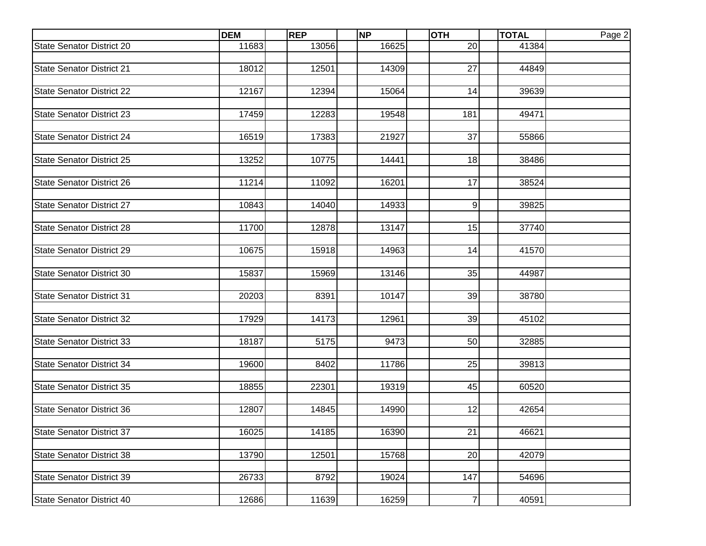|                                  |       | <b>REP</b> | <b>NP</b> | <b>OTH</b>     | <b>TOTAL</b> | Page 2 |
|----------------------------------|-------|------------|-----------|----------------|--------------|--------|
| <b>State Senator District 20</b> | 11683 | 13056      | 16625     | 20             | 41384        |        |
|                                  |       |            |           |                |              |        |
| <b>State Senator District 21</b> | 18012 | 12501      | 14309     | 27             | 44849        |        |
|                                  |       |            |           |                |              |        |
| <b>State Senator District 22</b> | 12167 | 12394      | 15064     | 14             | 39639        |        |
| <b>State Senator District 23</b> | 17459 | 12283      | 19548     | 181            | 49471        |        |
|                                  |       |            |           |                |              |        |
| <b>State Senator District 24</b> | 16519 | 17383      | 21927     | 37             | 55866        |        |
|                                  |       |            |           |                |              |        |
| <b>State Senator District 25</b> | 13252 | 10775      | 14441     | 18             | 38486        |        |
|                                  |       |            |           |                |              |        |
| <b>State Senator District 26</b> | 11214 | 11092      | 16201     | 17             | 38524        |        |
|                                  |       |            |           |                |              |        |
| <b>State Senator District 27</b> | 10843 | 14040      | 14933     | 9              | 39825        |        |
|                                  |       |            |           |                |              |        |
| <b>State Senator District 28</b> | 11700 | 12878      | 13147     | 15             | 37740        |        |
| <b>State Senator District 29</b> | 10675 | 15918      | 14963     | 14             | 41570        |        |
|                                  |       |            |           |                |              |        |
| <b>State Senator District 30</b> | 15837 | 15969      | 13146     | 35             | 44987        |        |
|                                  |       |            |           |                |              |        |
| <b>State Senator District 31</b> | 20203 | 8391       | 10147     | 39             | 38780        |        |
|                                  |       |            |           |                |              |        |
| <b>State Senator District 32</b> | 17929 | 14173      | 12961     | 39             | 45102        |        |
|                                  |       |            |           |                |              |        |
| <b>State Senator District 33</b> | 18187 | 5175       | 9473      | 50             | 32885        |        |
| <b>State Senator District 34</b> | 19600 | 8402       | 11786     | 25             | 39813        |        |
|                                  |       |            |           |                |              |        |
| <b>State Senator District 35</b> | 18855 | 22301      | 19319     | 45             | 60520        |        |
|                                  |       |            |           |                |              |        |
| <b>State Senator District 36</b> | 12807 | 14845      | 14990     | 12             | 42654        |        |
|                                  |       |            |           |                |              |        |
| <b>State Senator District 37</b> | 16025 | 14185      | 16390     | 21             | 46621        |        |
|                                  |       |            |           |                |              |        |
| <b>State Senator District 38</b> | 13790 | 12501      | 15768     | 20             | 42079        |        |
| <b>State Senator District 39</b> | 26733 | 8792       | 19024     | 147            | 54696        |        |
|                                  |       |            |           |                |              |        |
| State Senator District 40        | 12686 | 11639      | 16259     | $\overline{7}$ | 40591        |        |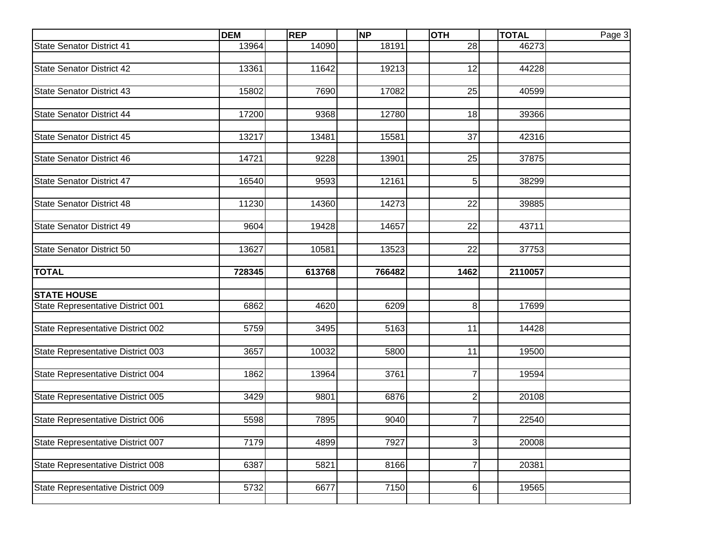|                                   | <b>DEM</b> | <b>REP</b> | <b>NP</b> | <b>OTH</b>      | <b>TOTAL</b> | Page 3 |
|-----------------------------------|------------|------------|-----------|-----------------|--------------|--------|
| <b>State Senator District 41</b>  | 13964      | 14090      | 18191     | 28              | 46273        |        |
|                                   |            |            |           |                 |              |        |
| <b>State Senator District 42</b>  | 13361      | 11642      | 19213     | 12              | 44228        |        |
|                                   |            |            |           |                 |              |        |
| <b>State Senator District 43</b>  | 15802      | 7690       | 17082     | 25              | 40599        |        |
|                                   |            |            |           |                 |              |        |
| <b>State Senator District 44</b>  | 17200      | 9368       | 12780     | 18              | 39366        |        |
|                                   |            |            |           |                 |              |        |
| <b>State Senator District 45</b>  | 13217      | 13481      | 15581     | 37              | 42316        |        |
| <b>State Senator District 46</b>  | 14721      | 9228       | 13901     | 25              | 37875        |        |
|                                   |            |            |           |                 |              |        |
| <b>State Senator District 47</b>  | 16540      | 9593       | 12161     | 5 <sup>1</sup>  | 38299        |        |
|                                   |            |            |           |                 |              |        |
| <b>State Senator District 48</b>  | 11230      | 14360      | 14273     | $\overline{22}$ | 39885        |        |
|                                   |            |            |           |                 |              |        |
| <b>State Senator District 49</b>  | 9604       | 19428      | 14657     | 22              | 43711        |        |
|                                   |            |            |           |                 |              |        |
| <b>State Senator District 50</b>  | 13627      | 10581      | 13523     | 22              | 37753        |        |
|                                   |            |            |           |                 |              |        |
| <b>TOTAL</b>                      | 728345     | 613768     | 766482    | 1462            | 2110057      |        |
|                                   |            |            |           |                 |              |        |
| <b>STATE HOUSE</b>                |            |            |           |                 |              |        |
| State Representative District 001 | 6862       | 4620       | 6209      | 8 <sup>1</sup>  | 17699        |        |
|                                   |            |            |           |                 |              |        |
| State Representative District 002 | 5759       | 3495       | 5163      | 11              | 14428        |        |
|                                   | 3657       | 10032      | 5800      | 11              | 19500        |        |
| State Representative District 003 |            |            |           |                 |              |        |
| State Representative District 004 | 1862       | 13964      | 3761      | $\overline{7}$  | 19594        |        |
|                                   |            |            |           |                 |              |        |
| State Representative District 005 | 3429       | 9801       | 6876      | $\overline{2}$  | 20108        |        |
|                                   |            |            |           |                 |              |        |
| State Representative District 006 | 5598       | 7895       | 9040      | $\overline{7}$  | 22540        |        |
|                                   |            |            |           |                 |              |        |
| State Representative District 007 | 7179       | 4899       | 7927      | $\overline{3}$  | 20008        |        |
|                                   |            |            |           |                 |              |        |
| State Representative District 008 | 6387       | 5821       | 8166      | $\overline{7}$  | 20381        |        |
|                                   |            |            |           |                 |              |        |
| State Representative District 009 | 5732       | 6677       | 7150      | $6 \mid$        | 19565        |        |
|                                   |            |            |           |                 |              |        |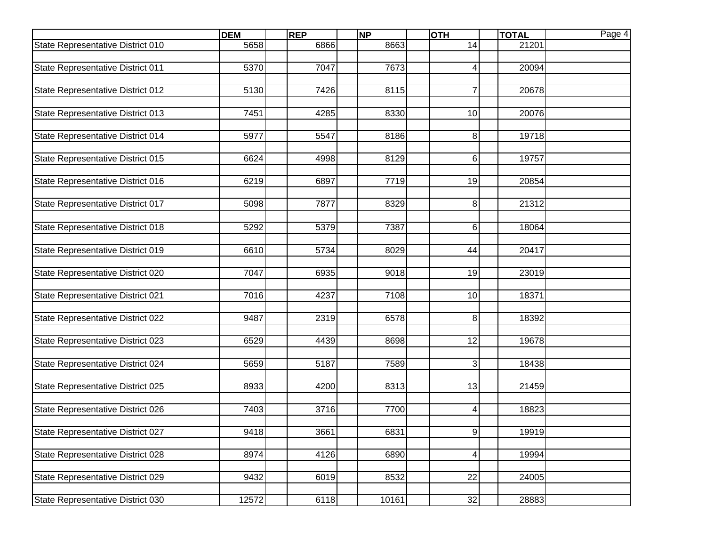|                                   | <b>DEM</b> | <b>REP</b> | <b>NP</b> | <b>OTH</b>      | <b>TOTAL</b> | Page 4 |
|-----------------------------------|------------|------------|-----------|-----------------|--------------|--------|
| State Representative District 010 | 5658       | 6866       | 8663      | 14              | 21201        |        |
|                                   |            |            |           |                 |              |        |
| State Representative District 011 | 5370       | 7047       | 7673      | 41              | 20094        |        |
|                                   |            |            |           |                 |              |        |
| State Representative District 012 | 5130       | 7426       | 8115      | $\overline{7}$  | 20678        |        |
| State Representative District 013 | 7451       | 4285       | 8330      | 10              | 20076        |        |
|                                   |            |            |           |                 |              |        |
| State Representative District 014 | 5977       | 5547       | 8186      | 8 <sup>1</sup>  | 19718        |        |
|                                   |            |            |           |                 |              |        |
| State Representative District 015 | 6624       | 4998       | 8129      | 6               | 19757        |        |
|                                   |            |            |           |                 |              |        |
| State Representative District 016 | 6219       | 6897       | 7719      | 19              | 20854        |        |
|                                   |            |            |           |                 |              |        |
| State Representative District 017 | 5098       | 7877       | 8329      | 8               | 21312        |        |
|                                   |            |            |           |                 |              |        |
| State Representative District 018 | 5292       | 5379       | 7387      | 6               | 18064        |        |
| State Representative District 019 | 6610       | 5734       | 8029      | 44              | 20417        |        |
|                                   |            |            |           |                 |              |        |
| State Representative District 020 | 7047       | 6935       | 9018      | 19              | 23019        |        |
|                                   |            |            |           |                 |              |        |
| State Representative District 021 | 7016       | 4237       | 7108      | 10              | 18371        |        |
|                                   |            |            |           |                 |              |        |
| State Representative District 022 | 9487       | 2319       | 6578      | 8               | 18392        |        |
|                                   |            |            |           |                 |              |        |
| State Representative District 023 | 6529       | 4439       | 8698      | 12              | 19678        |        |
| State Representative District 024 | 5659       | 5187       | 7589      | 3               | 18438        |        |
|                                   |            |            |           |                 |              |        |
| State Representative District 025 | 8933       | 4200       | 8313      | 13              | 21459        |        |
|                                   |            |            |           |                 |              |        |
| State Representative District 026 | 7403       | 3716       | 7700      | $\vert 4 \vert$ | 18823        |        |
|                                   |            |            |           |                 |              |        |
| State Representative District 027 | 9418       | 3661       | 6831      | 9               | 19919        |        |
|                                   |            |            |           |                 |              |        |
| State Representative District 028 | 8974       | 4126       | 6890      | 4 <sup>1</sup>  | 19994        |        |
| State Representative District 029 | 9432       | 6019       | 8532      | 22              | 24005        |        |
|                                   |            |            |           |                 |              |        |
| State Representative District 030 | 12572      | 6118       | 10161     | 32              | 28883        |        |
|                                   |            |            |           |                 |              |        |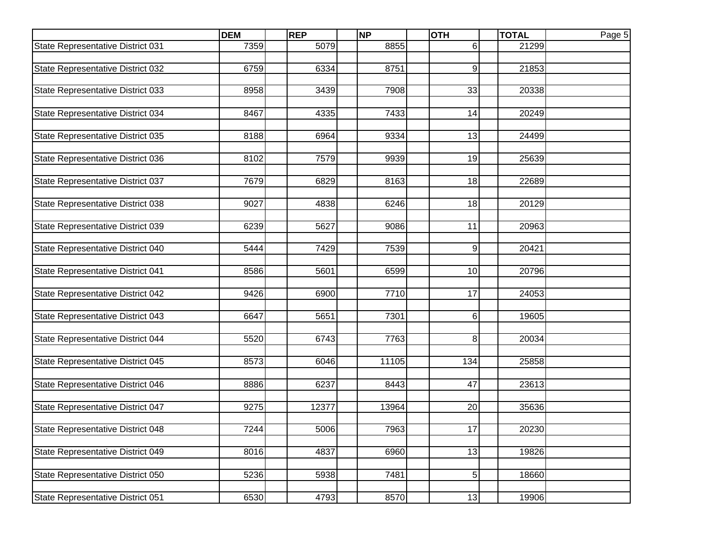| 7359<br>5079<br>8855<br>21299<br>61<br>State Representative District 031<br>6759<br>6334<br>8751<br>$\overline{9}$<br>State Representative District 032<br>21853<br>8958<br>7908<br>33<br>State Representative District 033<br>3439<br>20338<br>State Representative District 034<br>8467<br>7433<br>14<br>4335<br>20249<br>8188<br>13<br>State Representative District 035<br>6964<br>9334<br>24499<br>19<br>State Representative District 036<br>8102<br>7579<br>9939<br>25639<br>8163<br>18<br>State Representative District 037<br>7679<br>6829<br>22689<br>State Representative District 038<br>9027<br>4838<br>18<br>20129<br>6246<br>State Representative District 039<br>6239<br>11<br>20963<br>5627<br>9086<br>9<br>5444<br>7429<br>7539<br>State Representative District 040<br>20421<br>10<br>8586<br>5601<br>6599<br>State Representative District 041<br>20796<br>17<br>9426<br>7710<br>State Representative District 042<br>6900<br>24053<br>State Representative District 043<br>6647<br>5651<br>7301<br>$6 \mid$<br>19605<br>State Representative District 044<br>8 <sup>1</sup><br>5520<br>6743<br>7763<br>20034<br>State Representative District 045<br>8573<br>6046<br>11105<br>134<br>25858<br>47<br>8886<br>6237<br>8443<br>23613<br>20<br>State Representative District 047<br>9275<br>12377<br>13964<br>35636<br>State Representative District 048<br>5006<br>7963<br>17<br>20230<br>7244<br>13<br>State Representative District 049<br>8016<br>4837<br>6960<br>19826<br>$5 \mid$<br>State Representative District 050<br>5236<br>5938<br>7481<br>18660<br>State Representative District 051<br>6530<br>8570<br>13<br>4793<br>19906 |                                   | <b>DEM</b> | <b>REP</b> | <b>NP</b> | <b>OTH</b> | <b>TOTAL</b> | Page 5 |
|------------------------------------------------------------------------------------------------------------------------------------------------------------------------------------------------------------------------------------------------------------------------------------------------------------------------------------------------------------------------------------------------------------------------------------------------------------------------------------------------------------------------------------------------------------------------------------------------------------------------------------------------------------------------------------------------------------------------------------------------------------------------------------------------------------------------------------------------------------------------------------------------------------------------------------------------------------------------------------------------------------------------------------------------------------------------------------------------------------------------------------------------------------------------------------------------------------------------------------------------------------------------------------------------------------------------------------------------------------------------------------------------------------------------------------------------------------------------------------------------------------------------------------------------------------------------------------------------------------------------------------------------------------|-----------------------------------|------------|------------|-----------|------------|--------------|--------|
|                                                                                                                                                                                                                                                                                                                                                                                                                                                                                                                                                                                                                                                                                                                                                                                                                                                                                                                                                                                                                                                                                                                                                                                                                                                                                                                                                                                                                                                                                                                                                                                                                                                            |                                   |            |            |           |            |              |        |
|                                                                                                                                                                                                                                                                                                                                                                                                                                                                                                                                                                                                                                                                                                                                                                                                                                                                                                                                                                                                                                                                                                                                                                                                                                                                                                                                                                                                                                                                                                                                                                                                                                                            |                                   |            |            |           |            |              |        |
|                                                                                                                                                                                                                                                                                                                                                                                                                                                                                                                                                                                                                                                                                                                                                                                                                                                                                                                                                                                                                                                                                                                                                                                                                                                                                                                                                                                                                                                                                                                                                                                                                                                            |                                   |            |            |           |            |              |        |
|                                                                                                                                                                                                                                                                                                                                                                                                                                                                                                                                                                                                                                                                                                                                                                                                                                                                                                                                                                                                                                                                                                                                                                                                                                                                                                                                                                                                                                                                                                                                                                                                                                                            |                                   |            |            |           |            |              |        |
|                                                                                                                                                                                                                                                                                                                                                                                                                                                                                                                                                                                                                                                                                                                                                                                                                                                                                                                                                                                                                                                                                                                                                                                                                                                                                                                                                                                                                                                                                                                                                                                                                                                            |                                   |            |            |           |            |              |        |
|                                                                                                                                                                                                                                                                                                                                                                                                                                                                                                                                                                                                                                                                                                                                                                                                                                                                                                                                                                                                                                                                                                                                                                                                                                                                                                                                                                                                                                                                                                                                                                                                                                                            |                                   |            |            |           |            |              |        |
|                                                                                                                                                                                                                                                                                                                                                                                                                                                                                                                                                                                                                                                                                                                                                                                                                                                                                                                                                                                                                                                                                                                                                                                                                                                                                                                                                                                                                                                                                                                                                                                                                                                            |                                   |            |            |           |            |              |        |
|                                                                                                                                                                                                                                                                                                                                                                                                                                                                                                                                                                                                                                                                                                                                                                                                                                                                                                                                                                                                                                                                                                                                                                                                                                                                                                                                                                                                                                                                                                                                                                                                                                                            |                                   |            |            |           |            |              |        |
|                                                                                                                                                                                                                                                                                                                                                                                                                                                                                                                                                                                                                                                                                                                                                                                                                                                                                                                                                                                                                                                                                                                                                                                                                                                                                                                                                                                                                                                                                                                                                                                                                                                            |                                   |            |            |           |            |              |        |
|                                                                                                                                                                                                                                                                                                                                                                                                                                                                                                                                                                                                                                                                                                                                                                                                                                                                                                                                                                                                                                                                                                                                                                                                                                                                                                                                                                                                                                                                                                                                                                                                                                                            |                                   |            |            |           |            |              |        |
|                                                                                                                                                                                                                                                                                                                                                                                                                                                                                                                                                                                                                                                                                                                                                                                                                                                                                                                                                                                                                                                                                                                                                                                                                                                                                                                                                                                                                                                                                                                                                                                                                                                            |                                   |            |            |           |            |              |        |
|                                                                                                                                                                                                                                                                                                                                                                                                                                                                                                                                                                                                                                                                                                                                                                                                                                                                                                                                                                                                                                                                                                                                                                                                                                                                                                                                                                                                                                                                                                                                                                                                                                                            |                                   |            |            |           |            |              |        |
|                                                                                                                                                                                                                                                                                                                                                                                                                                                                                                                                                                                                                                                                                                                                                                                                                                                                                                                                                                                                                                                                                                                                                                                                                                                                                                                                                                                                                                                                                                                                                                                                                                                            |                                   |            |            |           |            |              |        |
|                                                                                                                                                                                                                                                                                                                                                                                                                                                                                                                                                                                                                                                                                                                                                                                                                                                                                                                                                                                                                                                                                                                                                                                                                                                                                                                                                                                                                                                                                                                                                                                                                                                            |                                   |            |            |           |            |              |        |
|                                                                                                                                                                                                                                                                                                                                                                                                                                                                                                                                                                                                                                                                                                                                                                                                                                                                                                                                                                                                                                                                                                                                                                                                                                                                                                                                                                                                                                                                                                                                                                                                                                                            |                                   |            |            |           |            |              |        |
|                                                                                                                                                                                                                                                                                                                                                                                                                                                                                                                                                                                                                                                                                                                                                                                                                                                                                                                                                                                                                                                                                                                                                                                                                                                                                                                                                                                                                                                                                                                                                                                                                                                            |                                   |            |            |           |            |              |        |
|                                                                                                                                                                                                                                                                                                                                                                                                                                                                                                                                                                                                                                                                                                                                                                                                                                                                                                                                                                                                                                                                                                                                                                                                                                                                                                                                                                                                                                                                                                                                                                                                                                                            |                                   |            |            |           |            |              |        |
|                                                                                                                                                                                                                                                                                                                                                                                                                                                                                                                                                                                                                                                                                                                                                                                                                                                                                                                                                                                                                                                                                                                                                                                                                                                                                                                                                                                                                                                                                                                                                                                                                                                            |                                   |            |            |           |            |              |        |
|                                                                                                                                                                                                                                                                                                                                                                                                                                                                                                                                                                                                                                                                                                                                                                                                                                                                                                                                                                                                                                                                                                                                                                                                                                                                                                                                                                                                                                                                                                                                                                                                                                                            |                                   |            |            |           |            |              |        |
|                                                                                                                                                                                                                                                                                                                                                                                                                                                                                                                                                                                                                                                                                                                                                                                                                                                                                                                                                                                                                                                                                                                                                                                                                                                                                                                                                                                                                                                                                                                                                                                                                                                            |                                   |            |            |           |            |              |        |
|                                                                                                                                                                                                                                                                                                                                                                                                                                                                                                                                                                                                                                                                                                                                                                                                                                                                                                                                                                                                                                                                                                                                                                                                                                                                                                                                                                                                                                                                                                                                                                                                                                                            |                                   |            |            |           |            |              |        |
|                                                                                                                                                                                                                                                                                                                                                                                                                                                                                                                                                                                                                                                                                                                                                                                                                                                                                                                                                                                                                                                                                                                                                                                                                                                                                                                                                                                                                                                                                                                                                                                                                                                            |                                   |            |            |           |            |              |        |
|                                                                                                                                                                                                                                                                                                                                                                                                                                                                                                                                                                                                                                                                                                                                                                                                                                                                                                                                                                                                                                                                                                                                                                                                                                                                                                                                                                                                                                                                                                                                                                                                                                                            |                                   |            |            |           |            |              |        |
|                                                                                                                                                                                                                                                                                                                                                                                                                                                                                                                                                                                                                                                                                                                                                                                                                                                                                                                                                                                                                                                                                                                                                                                                                                                                                                                                                                                                                                                                                                                                                                                                                                                            |                                   |            |            |           |            |              |        |
|                                                                                                                                                                                                                                                                                                                                                                                                                                                                                                                                                                                                                                                                                                                                                                                                                                                                                                                                                                                                                                                                                                                                                                                                                                                                                                                                                                                                                                                                                                                                                                                                                                                            |                                   |            |            |           |            |              |        |
|                                                                                                                                                                                                                                                                                                                                                                                                                                                                                                                                                                                                                                                                                                                                                                                                                                                                                                                                                                                                                                                                                                                                                                                                                                                                                                                                                                                                                                                                                                                                                                                                                                                            |                                   |            |            |           |            |              |        |
|                                                                                                                                                                                                                                                                                                                                                                                                                                                                                                                                                                                                                                                                                                                                                                                                                                                                                                                                                                                                                                                                                                                                                                                                                                                                                                                                                                                                                                                                                                                                                                                                                                                            |                                   |            |            |           |            |              |        |
|                                                                                                                                                                                                                                                                                                                                                                                                                                                                                                                                                                                                                                                                                                                                                                                                                                                                                                                                                                                                                                                                                                                                                                                                                                                                                                                                                                                                                                                                                                                                                                                                                                                            |                                   |            |            |           |            |              |        |
|                                                                                                                                                                                                                                                                                                                                                                                                                                                                                                                                                                                                                                                                                                                                                                                                                                                                                                                                                                                                                                                                                                                                                                                                                                                                                                                                                                                                                                                                                                                                                                                                                                                            | State Representative District 046 |            |            |           |            |              |        |
|                                                                                                                                                                                                                                                                                                                                                                                                                                                                                                                                                                                                                                                                                                                                                                                                                                                                                                                                                                                                                                                                                                                                                                                                                                                                                                                                                                                                                                                                                                                                                                                                                                                            |                                   |            |            |           |            |              |        |
|                                                                                                                                                                                                                                                                                                                                                                                                                                                                                                                                                                                                                                                                                                                                                                                                                                                                                                                                                                                                                                                                                                                                                                                                                                                                                                                                                                                                                                                                                                                                                                                                                                                            |                                   |            |            |           |            |              |        |
|                                                                                                                                                                                                                                                                                                                                                                                                                                                                                                                                                                                                                                                                                                                                                                                                                                                                                                                                                                                                                                                                                                                                                                                                                                                                                                                                                                                                                                                                                                                                                                                                                                                            |                                   |            |            |           |            |              |        |
|                                                                                                                                                                                                                                                                                                                                                                                                                                                                                                                                                                                                                                                                                                                                                                                                                                                                                                                                                                                                                                                                                                                                                                                                                                                                                                                                                                                                                                                                                                                                                                                                                                                            |                                   |            |            |           |            |              |        |
|                                                                                                                                                                                                                                                                                                                                                                                                                                                                                                                                                                                                                                                                                                                                                                                                                                                                                                                                                                                                                                                                                                                                                                                                                                                                                                                                                                                                                                                                                                                                                                                                                                                            |                                   |            |            |           |            |              |        |
|                                                                                                                                                                                                                                                                                                                                                                                                                                                                                                                                                                                                                                                                                                                                                                                                                                                                                                                                                                                                                                                                                                                                                                                                                                                                                                                                                                                                                                                                                                                                                                                                                                                            |                                   |            |            |           |            |              |        |
|                                                                                                                                                                                                                                                                                                                                                                                                                                                                                                                                                                                                                                                                                                                                                                                                                                                                                                                                                                                                                                                                                                                                                                                                                                                                                                                                                                                                                                                                                                                                                                                                                                                            |                                   |            |            |           |            |              |        |
|                                                                                                                                                                                                                                                                                                                                                                                                                                                                                                                                                                                                                                                                                                                                                                                                                                                                                                                                                                                                                                                                                                                                                                                                                                                                                                                                                                                                                                                                                                                                                                                                                                                            |                                   |            |            |           |            |              |        |
|                                                                                                                                                                                                                                                                                                                                                                                                                                                                                                                                                                                                                                                                                                                                                                                                                                                                                                                                                                                                                                                                                                                                                                                                                                                                                                                                                                                                                                                                                                                                                                                                                                                            |                                   |            |            |           |            |              |        |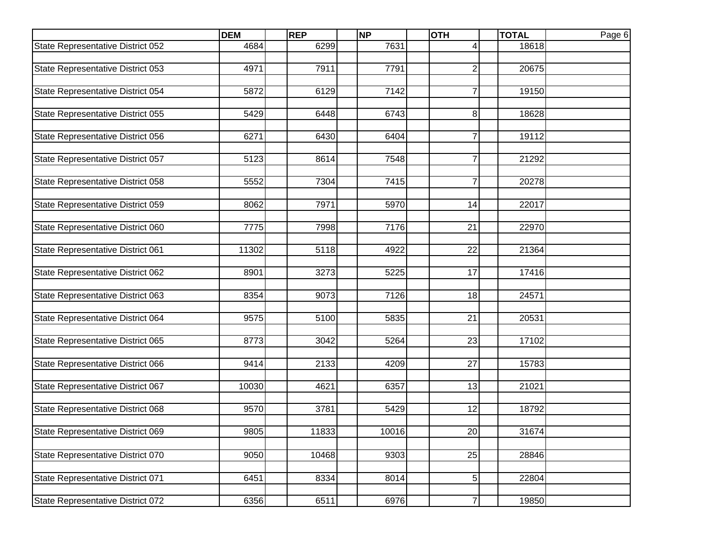|                                   | <b>DEM</b> | <b>REP</b> | <b>NP</b> | <b>OTH</b>     | <b>TOTAL</b> | Page 6 |
|-----------------------------------|------------|------------|-----------|----------------|--------------|--------|
| State Representative District 052 | 4684       | 6299       | 7631      | 4              | 18618        |        |
|                                   |            |            |           |                |              |        |
| State Representative District 053 | 4971       | 7911       | 7791      | $\overline{2}$ | 20675        |        |
|                                   |            |            |           |                |              |        |
| State Representative District 054 | 5872       | 6129       | 7142      | $\overline{7}$ | 19150        |        |
|                                   |            |            |           |                |              |        |
| State Representative District 055 | 5429       | 6448       | 6743      | 8              | 18628        |        |
| State Representative District 056 |            | 6430       | 6404      |                |              |        |
|                                   | 6271       |            |           | 7              | 19112        |        |
| State Representative District 057 | 5123       | 8614       | 7548      | 7              | 21292        |        |
|                                   |            |            |           |                |              |        |
| State Representative District 058 | 5552       | 7304       | 7415      | $\mathsf{Z}$   | 20278        |        |
|                                   |            |            |           |                |              |        |
| State Representative District 059 | 8062       | 7971       | 5970      | 14             | 22017        |        |
|                                   |            |            |           |                |              |        |
| State Representative District 060 | 7775       | 7998       | 7176      | 21             | 22970        |        |
|                                   |            |            |           |                |              |        |
| State Representative District 061 | 11302      | 5118       | 4922      | 22             | 21364        |        |
|                                   |            |            |           |                |              |        |
| State Representative District 062 | 8901       | 3273       | 5225      | 17             | 17416        |        |
|                                   |            |            |           |                |              |        |
| State Representative District 063 | 8354       | 9073       | 7126      | 18             | 24571        |        |
|                                   |            |            |           |                |              |        |
| State Representative District 064 | 9575       | 5100       | 5835      | 21             | 20531        |        |
| State Representative District 065 | 8773       | 3042       | 5264      | 23             | 17102        |        |
|                                   |            |            |           |                |              |        |
| State Representative District 066 | 9414       | 2133       | 4209      | 27             | 15783        |        |
|                                   |            |            |           |                |              |        |
| State Representative District 067 | 10030      | 4621       | 6357      | 13             | 21021        |        |
|                                   |            |            |           |                |              |        |
| State Representative District 068 | 9570       | 3781       | 5429      | 12             | 18792        |        |
|                                   |            |            |           |                |              |        |
| State Representative District 069 | 9805       | 11833      | 10016     | 20             | 31674        |        |
|                                   |            |            |           |                |              |        |
| State Representative District 070 | 9050       | 10468      | 9303      | 25             | 28846        |        |
|                                   |            |            |           |                |              |        |
| State Representative District 071 | 6451       | 8334       | 8014      | 5              | 22804        |        |
|                                   |            |            |           |                |              |        |
| State Representative District 072 | 6356       | 6511       | 6976      | $\mathbf{7}$   | 19850        |        |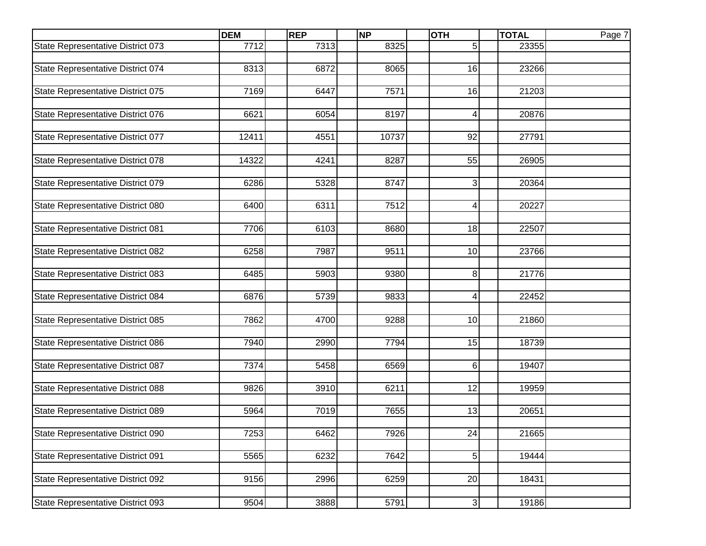|                                   | <b>DEM</b> | <b>REP</b> | <b>NP</b> | <b>OTH</b>      | <b>TOTAL</b> | Page 7 |
|-----------------------------------|------------|------------|-----------|-----------------|--------------|--------|
| State Representative District 073 | 7712       | 7313       | 8325      | 5               | 23355        |        |
|                                   |            |            |           |                 |              |        |
| State Representative District 074 | 8313       | 6872       | 8065      | 16              | 23266        |        |
|                                   |            |            |           |                 |              |        |
| State Representative District 075 | 7169       | 6447       | 7571      | 16              | 21203        |        |
|                                   |            |            |           |                 |              |        |
| State Representative District 076 | 6621       | 6054       | 8197      | 4               | 20876        |        |
|                                   |            |            |           |                 |              |        |
| State Representative District 077 | 12411      | 4551       | 10737     | 92              | 27791        |        |
| State Representative District 078 | 14322      | 4241       | 8287      | 55              | 26905        |        |
|                                   |            |            |           |                 |              |        |
| State Representative District 079 | 6286       | 5328       | 8747      | 3               | 20364        |        |
|                                   |            |            |           |                 |              |        |
| State Representative District 080 | 6400       | 6311       | 7512      | 41              | 20227        |        |
|                                   |            |            |           |                 |              |        |
| State Representative District 081 | 7706       | 6103       | 8680      | 18              | 22507        |        |
|                                   |            |            |           |                 |              |        |
| State Representative District 082 | 6258       | 7987       | 9511      | 10              | 23766        |        |
|                                   |            |            |           |                 |              |        |
| State Representative District 083 | 6485       | 5903       | 9380      | 8               | 21776        |        |
|                                   |            |            |           |                 |              |        |
| State Representative District 084 | 6876       | 5739       | 9833      | $\vert 4 \vert$ | 22452        |        |
|                                   |            |            |           |                 |              |        |
| State Representative District 085 | 7862       | 4700       | 9288      | 10              | 21860        |        |
|                                   |            |            |           |                 |              |        |
| State Representative District 086 | 7940       | 2990       | 7794      | 15              | 18739        |        |
| State Representative District 087 | 7374       | 5458       | 6569      | $6 \mid$        | 19407        |        |
|                                   |            |            |           |                 |              |        |
| State Representative District 088 | 9826       | 3910       | 6211      | 12              | 19959        |        |
|                                   |            |            |           |                 |              |        |
| State Representative District 089 | 5964       | 7019       | 7655      | 13              | 20651        |        |
|                                   |            |            |           |                 |              |        |
| State Representative District 090 | 7253       | 6462       | 7926      | 24              | 21665        |        |
|                                   |            |            |           |                 |              |        |
| State Representative District 091 | 5565       | 6232       | 7642      | $5 \mid$        | 19444        |        |
|                                   |            |            |           |                 |              |        |
| State Representative District 092 | 9156       | 2996       | 6259      | 20              | 18431        |        |
|                                   |            |            |           |                 |              |        |
| State Representative District 093 | 9504       | 3888       | 5791      | $\overline{3}$  | 19186        |        |